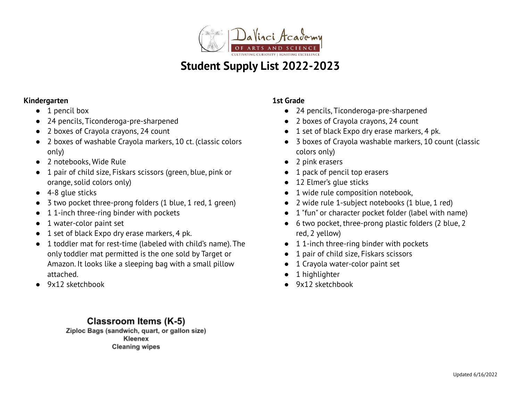

**1st Grade**

## **Kindergarten**

- 1 pencil box
- 24 pencils, Ticonderoga-pre-sharpened
- 2 boxes of Crayola crayons, 24 count
- 2 boxes of washable Crayola markers, 10 ct. (classic colors only)
- 2 notebooks, Wide Rule
- 1 pair of child size, Fiskars scissors (green, blue, pink or orange, solid colors only)
- $\bullet$  4-8 glue sticks
- 3 two pocket three-prong folders (1 blue, 1 red, 1 green)
- 1 1-inch three-ring binder with pockets
- 1 water-color paint set
- 1 set of black Expo dry erase markers, 4 pk.
- 1 toddler mat for rest-time (labeled with child's name). The only toddler mat permitted is the one sold by Target or Amazon. It looks like a sleeping bag with a small pillow attached.
- 9x12 sketchbook

● 1 wide rule composition notebook,

● 1 pack of pencil top erasers

● 12 Elmer's glue sticks

● 24 pencils, Ticonderoga-pre-sharpened ● 2 boxes of Crayola crayons, 24 count

● 1 set of black Expo dry erase markers, 4 pk.

- 2 wide rule 1-subject notebooks (1 blue, 1 red)
- 1 "fun" or character pocket folder (label with name)

● 3 boxes of Crayola washable markers, 10 count (classic

- 6 two pocket, three-prong plastic folders (2 blue, 2 red, 2 yellow)
- 11-inch three-ring binder with pockets
- 1 pair of child size, Fiskars scissors
- 1 Crayola water-color paint set
- 1 highlighter

colors only) ● 2 pink erasers

● 9x12 sketchbook

Classroom Items (K-5) Ziploc Bags (sandwich, quart, or gallon size) **Kleenex Cleaning wipes**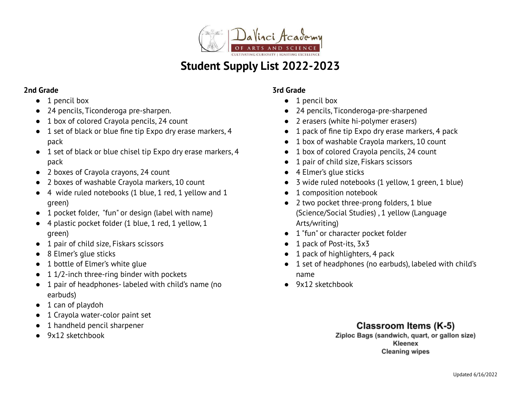

## **2nd Grade**

- 1 pencil box
- 24 pencils, Ticonderoga pre-sharpen.
- 1 box of colored Crayola pencils, 24 count
- 1 set of black or blue fine tip Expo dry erase markers, 4 pack
- 1 set of black or blue chisel tip Expo dry erase markers, 4 pack
- 2 boxes of Crayola crayons, 24 count
- 2 boxes of washable Crayola markers, 10 count
- 4 wide ruled notebooks (1 blue, 1 red, 1 yellow and 1 green)
- 1 pocket folder, "fun" or design (label with name)
- 4 plastic pocket folder (1 blue, 1 red, 1 yellow, 1 green)
- 1 pair of child size, Fiskars scissors
- 8 Elmer's glue sticks
- 1 bottle of Elmer's white glue
- $\bullet$  1 1/2-inch three-ring binder with pockets
- 1 pair of headphones- labeled with child's name (no earbuds)
- 1 can of playdoh
- 1 Crayola water-color paint set
- 1 handheld pencil sharpener
- 9x12 sketchbook

## **3rd Grade**

- 1 pencil box
- 24 pencils, Ticonderoga-pre-sharpened
- 2 erasers (white hi-polymer erasers)
- 1 pack of fine tip Expo dry erase markers, 4 pack
- 1 box of washable Crayola markers, 10 count
- 1 box of colored Crayola pencils, 24 count
- 1 pair of child size, Fiskars scissors
- 4 Elmer's glue sticks
- 3 wide ruled notebooks (1 yellow, 1 green, 1 blue)
- 1 composition notebook
- 2 two pocket three-prong folders, 1 blue (Science/Social Studies) , 1 yellow (Language Arts/writing)
- 1 "fun" or character pocket folder
- 1 pack of Post-its, 3x3
- 1 pack of highlighters, 4 pack
- 1 set of headphones (no earbuds), labeled with child's name
- 9x12 sketchbook

## Classroom Items (K-5)

Ziploc Bags (sandwich, quart, or gallon size) Kleenex **Cleaning wipes**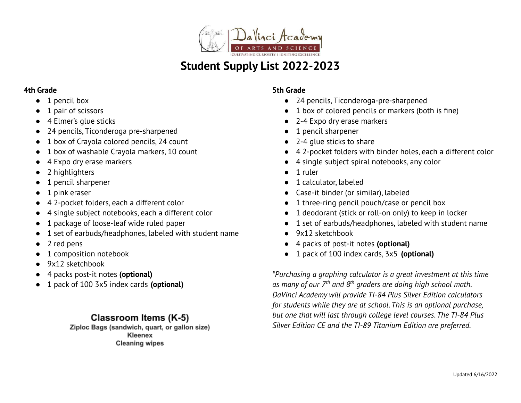

## **4th Grade**

- 1 pencil box
- 1 pair of scissors
- 4 Elmer's glue sticks
- 24 pencils, Ticonderoga pre-sharpened
- 1 box of Crayola colored pencils, 24 count
- 1 box of washable Crayola markers, 10 count
- 4 Expo dry erase markers
- 2 highlighters
- 1 pencil sharpener
- 1 pink eraser
- 4 2-pocket folders, each a different color
- 4 single subject notebooks, each a different color
- 1 package of loose-leaf wide ruled paper
- 1 set of earbuds/headphones, labeled with student name
- 2 red pens
- 1 composition notebook
- 9x12 sketchbook
- 4 packs post-it notes **(optional)**
- 1 pack of 100 3x5 index cards **(optional)**

## Classroom Items (K-5)

Ziploc Bags (sandwich, quart, or gallon size) Kleenex **Cleaning wipes** 

### **5th Grade**

- 24 pencils, Ticonderoga-pre-sharpened
- 1 box of colored pencils or markers (both is fine)
- 2-4 Expo dry erase markers
- 1 pencil sharpener
- 2-4 glue sticks to share
- 4 2-pocket folders with binder holes, each a different color
- 4 single subject spiral notebooks, any color
- 1 ruler
- 1 calculator, labeled
- Case-it binder (or similar), labeled
- 1 three-ring pencil pouch/case or pencil box
- 1 deodorant (stick or roll-on only) to keep in locker
- 1 set of earbuds/headphones, labeled with student name
- 9x12 sketchbook
- 4 packs of post-it notes **(optional)**
- 1 pack of 100 index cards, 3x5 **(optional)**

*\*Purchasing a graphing calculator is a great investment at this time as many of our 7 th and 8 th graders are doing high school math. DaVinci Academy will provide TI-84 Plus Silver Edition calculators for students while they are at school. This is an optional purchase, but one that will last through college level courses. The TI-84 Plus Silver Edition CE and the TI-89 Titanium Edition are preferred.*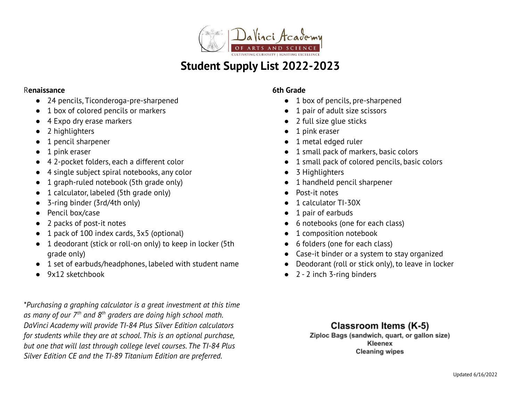

#### R**enaissance**

- 24 pencils, Ticonderoga-pre-sharpened
- 1 box of colored pencils or markers
- 4 Expo dry erase markers
- 2 highlighters
- 1 pencil sharpener
- 1 pink eraser
- 4 2-pocket folders, each a different color
- 4 single subject spiral notebooks, any color
- 1 graph-ruled notebook (5th grade only)
- 1 calculator, labeled (5th grade only)
- 3-ring binder (3rd/4th only)
- Pencil box/case
- 2 packs of post-it notes
- 1 pack of 100 index cards, 3x5 (optional)
- 1 deodorant (stick or roll-on only) to keep in locker (5th grade only)
- 1 set of earbuds/headphones, labeled with student name
- 9x12 sketchbook

*\*Purchasing a graphing calculator is a great investment at this time as many of our 7 th and 8 th graders are doing high school math. DaVinci Academy will provide TI-84 Plus Silver Edition calculators for students while they are at school. This is an optional purchase, but one that will last through college level courses. The TI-84 Plus Silver Edition CE and the TI-89 Titanium Edition are preferred.*

#### **6th Grade**

- 1 box of pencils, pre-sharpened
- 1 pair of adult size scissors
- 2 full size glue sticks
- 1 pink eraser
- 1 metal edged ruler
- 1 small pack of markers, basic colors
- 1 small pack of colored pencils, basic colors
- 3 Highlighters
- 1 handheld pencil sharpener
- Post-it notes
- 1 calculator TI-30X
- 1 pair of earbuds
- 6 notebooks (one for each class)
- 1 composition notebook
- 6 folders (one for each class)
- Case-it binder or a system to stay organized
- Deodorant (roll or stick only), to leave in locker
- 2 2 inch 3-ring binders

## Classroom Items (K-5)

Ziploc Bags (sandwich, quart, or gallon size) Kleenex **Cleaning wipes**